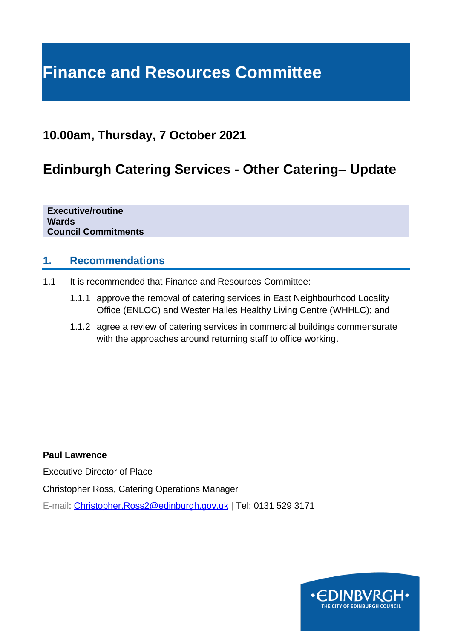# **Finance and Resources Committee**

# **10.00am, Thursday, 7 October 2021**

# **Edinburgh Catering Services - Other Catering– Update**

**Executive/routine Wards Council Commitments**

### **1. Recommendations**

- 1.1 It is recommended that Finance and Resources Committee:
	- 1.1.1 approve the removal of catering services in East Neighbourhood Locality Office (ENLOC) and Wester Hailes Healthy Living Centre (WHHLC); and
	- 1.1.2 agree a review of catering services in commercial buildings commensurate with the approaches around returning staff to office working.

**Paul Lawrence**

Executive Director of Place

Christopher Ross, Catering Operations Manager

E-mail: [Christopher.Ross2@edinburgh.gov.uk](mailto:Christopher.Ross2@edinburgh.gov.uk) | Tel: 0131 529 3171

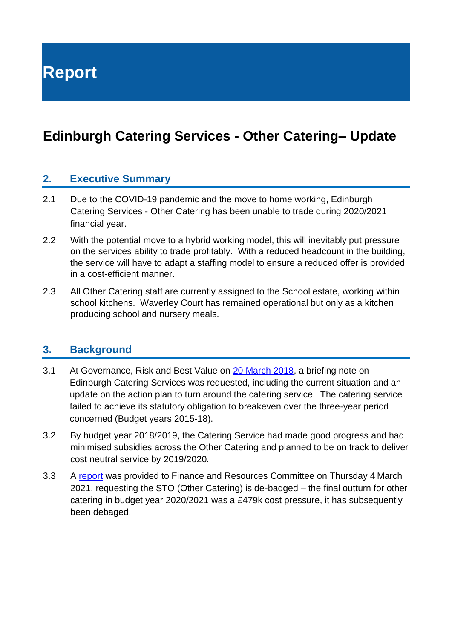**Report**

# **Edinburgh Catering Services - Other Catering– Update**

### **2. Executive Summary**

- 2.1 Due to the COVID-19 pandemic and the move to home working, Edinburgh Catering Services - Other Catering has been unable to trade during 2020/2021 financial year.
- 2.2 With the potential move to a hybrid working model, this will inevitably put pressure on the services ability to trade profitably. With a reduced headcount in the building, the service will have to adapt a staffing model to ensure a reduced offer is provided in a cost-efficient manner.
- 2.3 All Other Catering staff are currently assigned to the School estate, working within school kitchens. Waverley Court has remained operational but only as a kitchen producing school and nursery meals.

#### **3. Background**

- 3.1 At Governance, Risk and Best Value on [20 March 2018,](https://democracy.edinburgh.gov.uk/CeListDocuments.aspx?CommitteeId=138&MeetingId=2447&DF=20%2f03%2f2018&Ver=2) a briefing note on Edinburgh Catering Services was requested, including the current situation and an update on the action plan to turn around the catering service. The catering service failed to achieve its statutory obligation to breakeven over the three-year period concerned (Budget years 2015-18).
- 3.2 By budget year 2018/2019, the Catering Service had made good progress and had minimised subsidies across the Other Catering and planned to be on track to deliver cost neutral service by 2019/2020.
- 3.3 A [report](https://democracy.edinburgh.gov.uk/ieListDocuments.aspx?CId=140&MId=5565&Ver=4) was provided to Finance and Resources Committee on Thursday 4 March 2021, requesting the STO (Other Catering) is de-badged – the final outturn for other catering in budget year 2020/2021 was a £479k cost pressure, it has subsequently been debaged.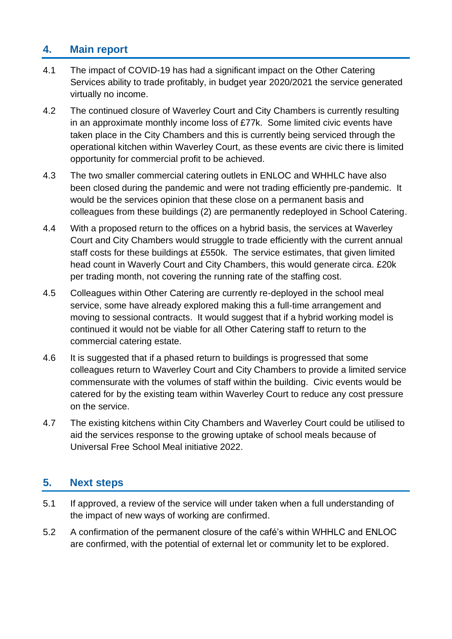# **4. Main report**

- 4.1 The impact of COVID-19 has had a significant impact on the Other Catering Services ability to trade profitably, in budget year 2020/2021 the service generated virtually no income.
- 4.2 The continued closure of Waverley Court and City Chambers is currently resulting in an approximate monthly income loss of £77k. Some limited civic events have taken place in the City Chambers and this is currently being serviced through the operational kitchen within Waverley Court, as these events are civic there is limited opportunity for commercial profit to be achieved.
- 4.3 The two smaller commercial catering outlets in ENLOC and WHHLC have also been closed during the pandemic and were not trading efficiently pre-pandemic. It would be the services opinion that these close on a permanent basis and colleagues from these buildings (2) are permanently redeployed in School Catering.
- 4.4 With a proposed return to the offices on a hybrid basis, the services at Waverley Court and City Chambers would struggle to trade efficiently with the current annual staff costs for these buildings at £550k. The service estimates, that given limited head count in Waverly Court and City Chambers, this would generate circa. £20k per trading month, not covering the running rate of the staffing cost.
- 4.5 Colleagues within Other Catering are currently re-deployed in the school meal service, some have already explored making this a full-time arrangement and moving to sessional contracts. It would suggest that if a hybrid working model is continued it would not be viable for all Other Catering staff to return to the commercial catering estate.
- 4.6 It is suggested that if a phased return to buildings is progressed that some colleagues return to Waverley Court and City Chambers to provide a limited service commensurate with the volumes of staff within the building. Civic events would be catered for by the existing team within Waverley Court to reduce any cost pressure on the service.
- 4.7 The existing kitchens within City Chambers and Waverley Court could be utilised to aid the services response to the growing uptake of school meals because of Universal Free School Meal initiative 2022.

### **5. Next steps**

- 5.1 If approved, a review of the service will under taken when a full understanding of the impact of new ways of working are confirmed.
- 5.2 A confirmation of the permanent closure of the café's within WHHLC and ENLOC are confirmed, with the potential of external let or community let to be explored.